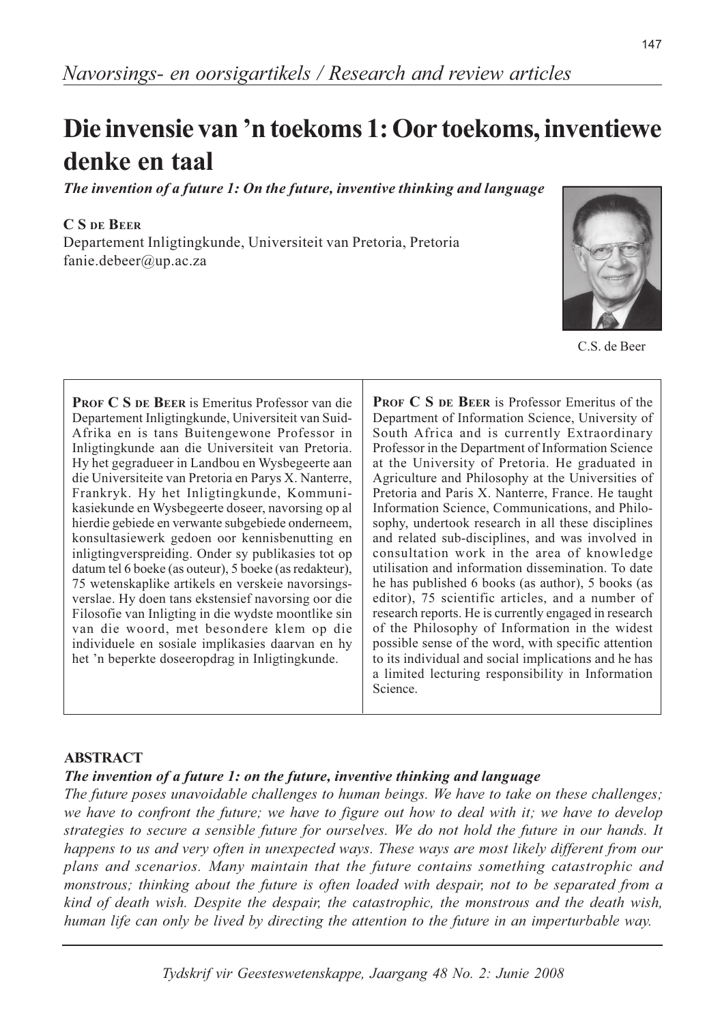# Die invensie van 'n toekoms 1: Oor toekoms, inventiewe denke en taal

The invention of a future 1: On the future, inventive thinking and language

### **C.S.DE.BEER**

Departement Inligtingkunde, Universiteit van Pretoria, Pretoria fanie.debeer@up.ac.za



C.S. de Beer

**PROF C S DE BEER is Emeritus Professor van die** Departement Inligtingkunde, Universiteit van Suid-Afrika en is tans Buitengewone Professor in Inligtingkunde aan die Universiteit van Pretoria. Hy het gegradueer in Landbou en Wysbegeerte aan die Universiteite van Pretoria en Parys X. Nanterre, Frankryk. Hy het Inligtingkunde, Kommunikasiekunde en Wysbegeerte doseer, navorsing op al hierdie gebiede en verwante subgebiede onderneem, konsultasiewerk gedoen oor kennisbenutting en inligtingverspreiding. Onder sy publikasies tot op datum tel 6 boeke (as outeur), 5 boeke (as redakteur), 75 wetenskaplike artikels en verskeie navorsingsverslae. Hy doen tans ekstensief navorsing oor die Filosofie van Inligting in die wydste moontlike sin van die woord, met besondere klem op die individuele en sosiale implikasies daarvan en hy het 'n beperkte doseeropdrag in Inligtingkunde.

PROF C S DE BEER is Professor Emeritus of the Department of Information Science, University of South Africa and is currently Extraordinary Professor in the Department of Information Science at the University of Pretoria. He graduated in Agriculture and Philosophy at the Universities of Pretoria and Paris X. Nanterre, France. He taught Information Science, Communications, and Philosophy, undertook research in all these disciplines and related sub-disciplines, and was involved in consultation work in the area of knowledge utilisation and information dissemination. To date he has published 6 books (as author), 5 books (as editor), 75 scientific articles, and a number of research reports. He is currently engaged in research of the Philosophy of Information in the widest possible sense of the word, with specific attention to its individual and social implications and he has a limited lecturing responsibility in Information Science.

# **ABSTRACT**

# The invention of a future 1: on the future, inventive thinking and language

The future poses unavoidable challenges to human beings. We have to take on these challenges; we have to confront the future; we have to figure out how to deal with it; we have to develop strategies to secure a sensible future for ourselves. We do not hold the future in our hands. It happens to us and very often in unexpected ways. These ways are most likely different from our plans and scenarios. Many maintain that the future contains something catastrophic and monstrous; thinking about the future is often loaded with despair, not to be separated from a kind of death wish. Despite the despair, the catastrophic, the monstrous and the death wish, human life can only be lived by directing the attention to the future in an imperturbable way.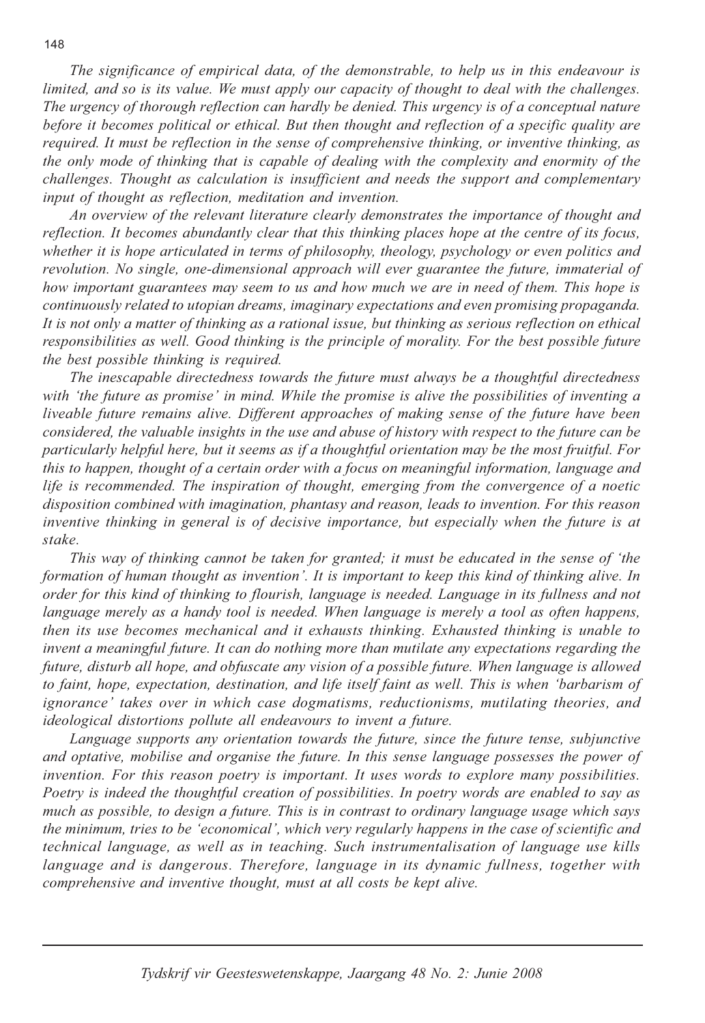The significance of empirical data, of the demonstrable, to help us in this endeavour is limited, and so is its value. We must apply our capacity of thought to deal with the challenges. The urgency of thorough reflection can hardly be denied. This urgency is of a conceptual nature before it becomes political or ethical. But then thought and reflection of a specific quality are required. It must be reflection in the sense of comprehensive thinking, or inventive thinking, as the only mode of thinking that is capable of dealing with the complexity and enormity of the challenges. Thought as calculation is insufficient and needs the support and complementary input of thought as reflection, meditation and invention.

An overview of the relevant literature clearly demonstrates the importance of thought and reflection. It becomes abundantly clear that this thinking places hope at the centre of its focus, whether it is hope articulated in terms of philosophy, theology, psychology or even politics and revolution. No single, one-dimensional approach will ever guarantee the future, immaterial of how important guarantees may seem to us and how much we are in need of them. This hope is continuously related to utopian dreams, imaginary expectations and even promising propaganda. It is not only a matter of thinking as a rational issue, but thinking as serious reflection on ethical responsibilities as well. Good thinking is the principle of morality. For the best possible future the best possible thinking is required.

The inescapable directedness towards the future must always be a thoughtful directedness with 'the future as promise' in mind. While the promise is alive the possibilities of inventing a liveable future remains alive. Different approaches of making sense of the future have been considered, the valuable insights in the use and abuse of history with respect to the future can be particularly helpful here, but it seems as if a thoughtful orientation may be the most fruitful. For this to happen, thought of a certain order with a focus on meaningful information, language and life is recommended. The inspiration of thought, emerging from the convergence of a noetic disposition combined with imagination, phantasy and reason, leads to invention. For this reason inventive thinking in general is of decisive importance, but especially when the future is at stake.

This way of thinking cannot be taken for granted; it must be educated in the sense of 'the formation of human thought as invention'. It is important to keep this kind of thinking alive. In order for this kind of thinking to flourish, language is needed. Language in its fullness and not language merely as a handy tool is needed. When language is merely a tool as often happens, then its use becomes mechanical and it exhausts thinking. Exhausted thinking is unable to invent a meaningful future. It can do nothing more than mutilate any expectations regarding the future, disturb all hope, and obfuscate any vision of a possible future. When language is allowed to faint, hope, expectation, destination, and life itself faint as well. This is when 'barbarism of ignorance' takes over in which case dogmatisms, reductionisms, mutilating theories, and ideological distortions pollute all endeavours to invent a future.

Language supports any orientation towards the future, since the future tense, subjunctive and optative, mobilise and organise the future. In this sense language possesses the power of invention. For this reason poetry is important. It uses words to explore many possibilities. Poetry is indeed the thoughtful creation of possibilities. In poetry words are enabled to say as much as possible, to design a future. This is in contrast to ordinary language usage which says the minimum, tries to be 'economical', which very regularly happens in the case of scientific and technical language, as well as in teaching. Such instrumentalisation of language use kills language and is dangerous. Therefore, language in its dynamic fullness, together with comprehensive and inventive thought, must at all costs be kept alive.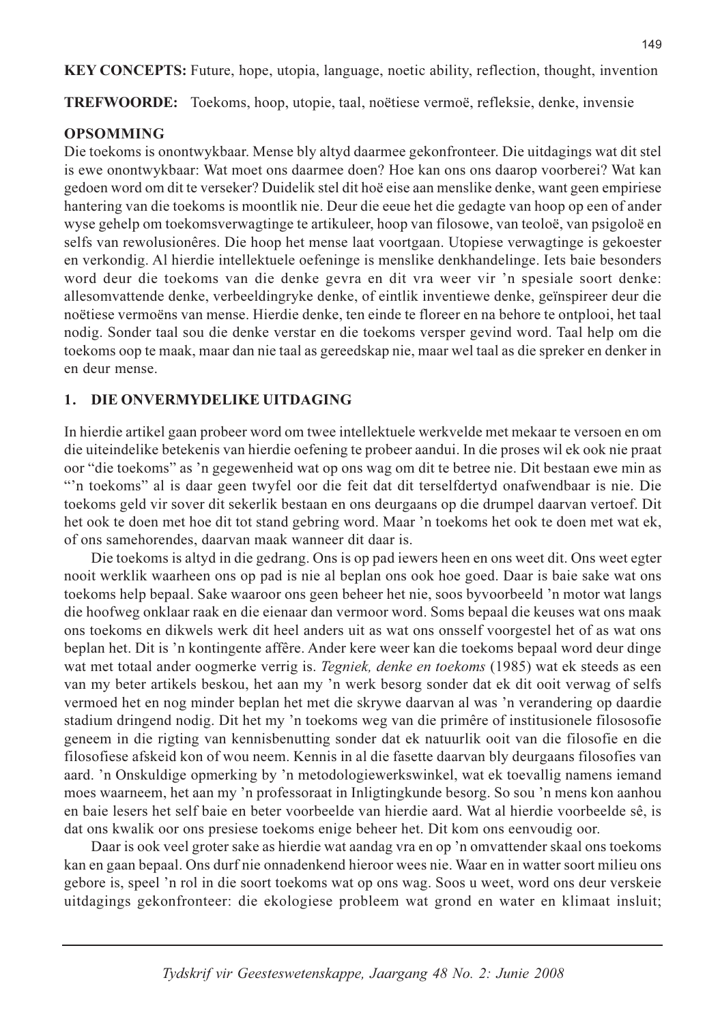**KEY CONCEPTS:** Future, hope, utopia, language, noetic ability, reflection, thought, invention

**TREFWOORDE:** Toekoms, hoop, utopie, taal, noëtiese vermoë, refleksie, denke, invensie

## **OPSOMMING**

Die toekoms is onontwykbaar. Mense bly altyd daarmee gekonfronteer. Die uitdagings wat dit stel is ewe onontwykbaar: Wat moet ons daarmee doen? Hoe kan ons ons daarop voorberei? Wat kan gedoen word om dit te verseker? Duidelik stel dit hoë eise aan menslike denke, want geen empiriese hantering van die toekoms is moontlik nie. Deur die eeue het die gedagte van hoop op een of ander wyse gehelp om toekomsverwagtinge te artikuleer, hoop van filosowe, van teoloë, van psigoloë en selfs van rewolusionêres. Die hoop het mense laat voortgaan. Utopiese verwagtinge is gekoester en verkondig. Al hierdie intellektuele oefeninge is menslike denkhandelinge. Iets baie besonders word deur die toekoms van die denke gevra en dit vra weer vir 'n spesiale soort denke: allesomvattende denke, verbeeldingryke denke, of eintlik inventiewe denke, geïnspireer deur die noëtiese vermoëns van mense. Hierdie denke, ten einde te floreer en na behore te ontplooi, het taal nodig. Sonder taal sou die denke verstar en die toekoms versper gevind word. Taal help om die toekoms oop te maak, maar dan nie taal as gereedskap nie, maar wel taal as die spreker en denker in en deur mense.

#### $1<sub>1</sub>$ DIE ONVERMYDELIKE UITDAGING

In hierdie artikel gaan probeer word om twee intellektuele werkvelde met mekaar te versoen en om die uiteindelike betekenis van hierdie oefening te probeer aandui. In die proses wil ek ook nie praat oor "die toekoms" as 'n gegewenheid wat op ons wag om dit te betree nie. Dit bestaan ewe min as "n toekoms" al is daar geen twyfel oor die feit dat dit terselfdertyd onafwendbaar is nie. Die toekoms geld vir sover dit sekerlik bestaan en ons deurgaans op die drumpel daarvan vertoef. Dit het ook te doen met hoe dit tot stand gebring word. Maar 'n toekoms het ook te doen met wat ek, of ons samehorendes, daarvan maak wanneer dit daar is.

Die toekoms is altyd in die gedrang. Ons is op pad iewers heen en ons weet dit. Ons weet egter nooit werklik waarheen ons op pad is nie al beplan ons ook hoe goed. Daar is baie sake wat ons toekoms help bepaal. Sake waaroor ons geen beheer het nie, soos byvoorbeeld 'n motor wat langs die hoofweg onklaar raak en die eienaar dan vermoor word. Soms bepaal die keuses wat ons maak ons toekoms en dikwels werk dit heel anders uit as wat ons onsself voorgestel het of as wat ons beplan het. Dit is 'n kontingente affêre. Ander kere weer kan die toekoms bepaal word deur dinge wat met totaal ander oogmerke verrig is. Tegniek, denke en toekoms (1985) wat ek steeds as een van my beter artikels beskou, het aan my 'n werk besorg sonder dat ek dit ooit verwag of selfs vermoed het en nog minder beplan het met die skrywe daarvan al was 'n verandering op daardie stadium dringend nodig. Dit het my 'n toekoms weg van die primêre of institusionele filososofie geneem in die rigting van kennisbenutting sonder dat ek natuurlik ooit van die filosofie en die filosofiese afskeid kon of wou neem. Kennis in al die fasette daarvan bly deurgaans filosofies van aard. 'n Onskuldige opmerking by 'n metodologiewerkswinkel, wat ek toevallig namens iemand moes waarneem, het aan my 'n professoraat in Inligtingkunde besorg. So sou 'n mens kon aanhou en baie lesers het self baie en beter voorbeelde van hierdie aard. Wat al hierdie voorbeelde sê, is dat ons kwalik oor ons presiese toekoms enige beheer het. Dit kom ons eenvoudig oor.

Daar is ook veel groter sake as hierdie wat aandag vra en op 'n omvattender skaal ons toekoms kan en gaan bepaal. Ons durf nie onnadenkend hieroor wees nie. Waar en in watter soort milieu ons gebore is, speel 'n rol in die soort toekoms wat op ons wag. Soos u weet, word ons deur verskeie uitdagings gekonfronteer: die ekologiese probleem wat grond en water en klimaat insluit;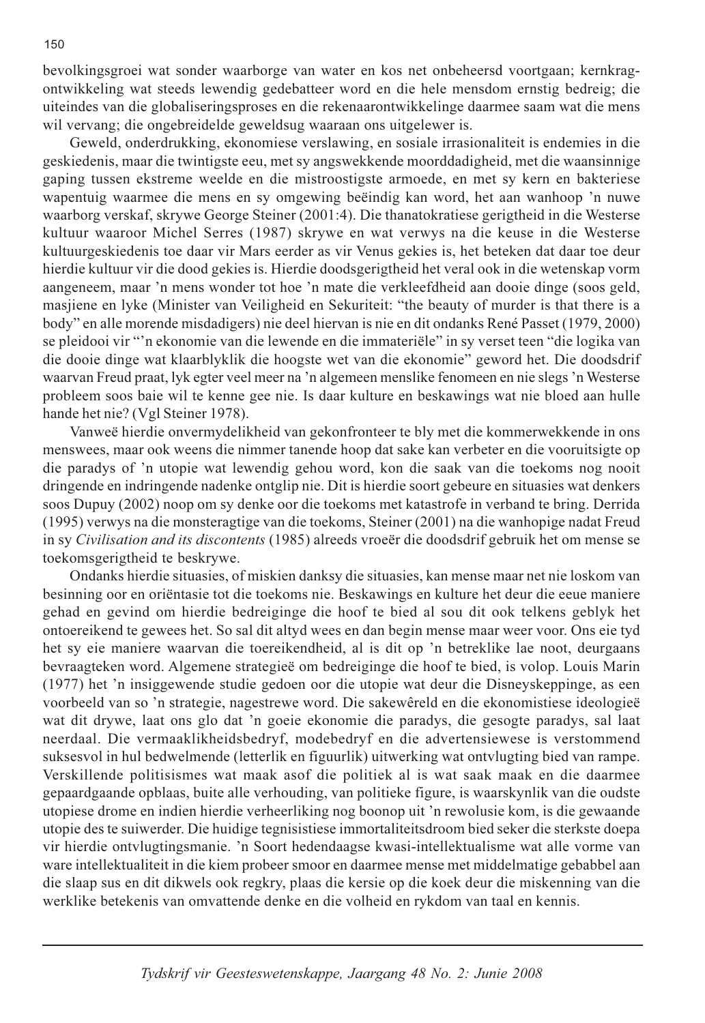bevolkingsgroei wat sonder waarborge van water en kos net onbeheersd voortgaan; kernkragontwikkeling wat steeds lewendig gedebatteer word en die hele mensdom ernstig bedreig; die uiteindes van die globaliseringsproses en die rekenaarontwikkelinge daarmee saam wat die mens wil vervang; die ongebreidelde geweldsug waaraan ons uitgelewer is.

Geweld, onderdrukking, ekonomiese verslawing, en sosiale irrasionaliteit is endemies in die geskiedenis, maar die twintigste eeu, met sy angswekkende moorddadigheid, met die waansinnige gaping tussen ekstreme weelde en die mistroostigste armoede, en met sy kern en bakteriese wapentuig waarmee die mens en sy omgewing beëindig kan word, het aan wanhoop 'n nuwe waarborg verskaf, skrywe George Steiner (2001:4). Die thanatokratiese gerigtheid in die Westerse kultuur waaroor Michel Serres (1987) skrywe en wat verwys na die keuse in die Westerse kultuurgeskiedenis toe daar vir Mars eerder as vir Venus gekies is, het beteken dat daar toe deur hierdie kultuur vir die dood gekies is. Hierdie doodsgerigtheid het veral ook in die wetenskap vorm aangeneem, maar 'n mens wonder tot hoe 'n mate die verkleefdheid aan dooie dinge (soos geld, masjiene en lyke (Minister van Veiligheid en Sekuriteit: "the beauty of murder is that there is a body" en alle morende misdadigers) nie deel hiervan is nie en dit ondanks René Passet (1979, 2000) se pleidooi vir "'n ekonomie van die lewende en die immateriële" in sy verset teen "die logika van die dooie dinge wat klaarblyklik die hoogste wet van die ekonomie" geword het. Die doodsdrif waarvan Freud praat, lyk egter veel meer na 'n algemeen menslike fenomeen en nie slegs 'n Westerse probleem soos baie wil te kenne gee nie. Is daar kulture en beskawings wat nie bloed aan hulle hande het nie? (Vgl Steiner 1978).

Vanweë hierdie onvermydelikheid van gekonfronteer te bly met die kommerwekkende in ons menswees, maar ook weens die nimmer tanende hoop dat sake kan verbeter en die vooruitsigte op die paradys of 'n utopie wat lewendig gehou word, kon die saak van die toekoms nog nooit dringende en indringende nadenke ontglip nie. Dit is hierdie soort gebeure en situasies wat denkers soos Dupuy (2002) noop om sy denke oor die toekoms met katastrofe in verband te bring. Derrida (1995) verwys na die monsteragtige van die toekoms, Steiner (2001) na die wanhopige nadat Freud in sy Civilisation and its discontents (1985) alreeds vroeër die doodsdrif gebruik het om mense se toekomsgerigtheid te beskrywe.

Ondanks hierdie situasies, of miskien danksy die situasies, kan mense maar net nie loskom van besinning oor en oriëntasie tot die toekoms nie. Beskawings en kulture het deur die eeue maniere gehad en gevind om hierdie bedreiginge die hoof te bied al sou dit ook telkens geblyk het ontoereikend te gewees het. So sal dit altyd wees en dan begin mense maar weer voor. Ons eie tyd het sy eie maniere waarvan die toereikendheid, al is dit op 'n betreklike lae noot, deurgaans bevraagteken word. Algemene strategieë om bedreiginge die hoof te bied, is volop. Louis Marin (1977) het 'n insiggewende studie gedoen oor die utopie wat deur die Disneyskeppinge, as een voorbeeld van so 'n strategie, nagestrewe word. Die sakewêreld en die ekonomistiese ideologieë wat dit drywe, laat ons glo dat 'n goeie ekonomie die paradys, die gesogte paradys, sal laat neerdaal. Die vermaaklikheidsbedryf, modebedryf en die advertensiewese is verstommend suksesvol in hul bedwelmende (letterlik en figuurlik) uitwerking wat ontvlugting bied van rampe. Verskillende politisismes wat maak asof die politiek al is wat saak maak en die daarmee gepaardgaande opblaas, buite alle verhouding, van politieke figure, is waarskynlik van die oudste utopiese drome en indien hierdie verheerliking nog boonop uit 'n rewolusie kom, is die gewaande utopie des te suiwerder. Die huidige tegnisistiese immortaliteitsdroom bied seker die sterkste doepa vir hierdie ontvlugtingsmanie. 'n Soort hedendaagse kwasi-intellektualisme wat alle vorme van ware intellektualiteit in die kiem probeer smoor en daarmee mense met middelmatige gebabbel aan die slaap sus en dit dikwels ook regkry, plaas die kersie op die koek deur die miskenning van die werklike betekenis van omvattende denke en die volheid en rykdom van taal en kennis.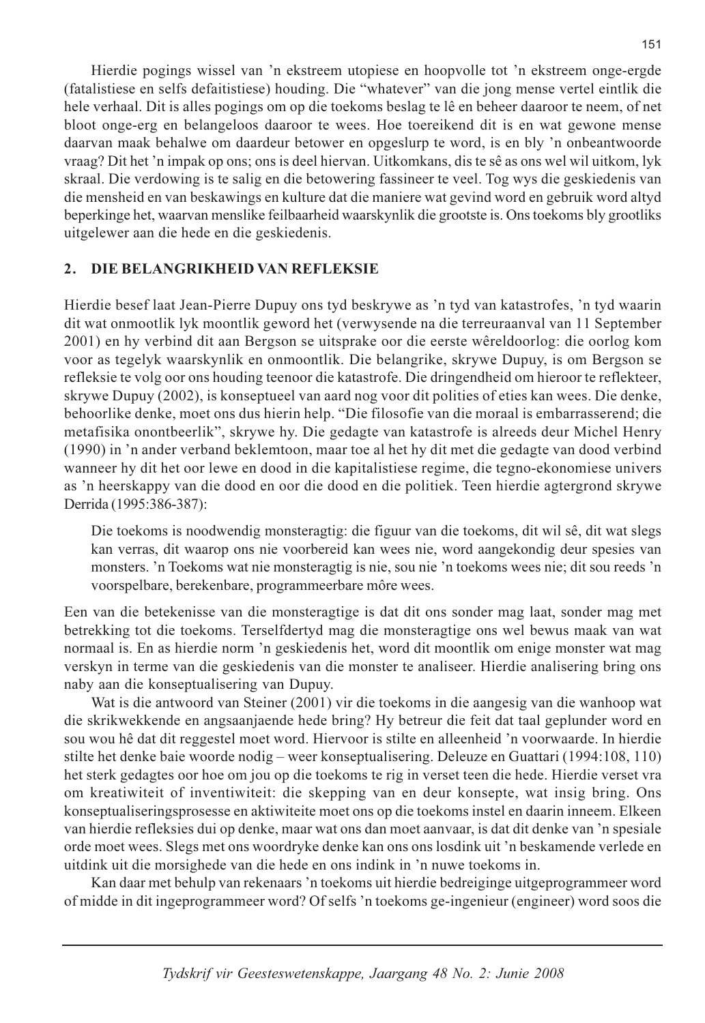Hierdie pogings wissel van 'n ekstreem utopiese en hoopvolle tot 'n ekstreem onge-ergde (fatalistiese en selfs defaitistiese) houding. Die "whatever" van die jong mense vertel eintlik die hele verhaal. Dit is alles pogings om op die toekoms beslag te lê en beheer daaroor te neem, of net bloot onge-erg en belangeloos daaroor te wees. Hoe toereikend dit is en wat gewone mense daarvan maak behalwe om daardeur betower en opgeslurp te word, is en bly 'n onbeantwoorde vraag? Dit het 'n impak op ons; ons is deel hiervan. Uitkomkans, dis te sê as ons wel wil uitkom, lyk skraal. Die verdowing is te salig en die betowering fassineer te veel. Tog wys die geskiedenis van die mensheid en van beskawings en kulture dat die maniere wat gevind word en gebruik word altyd beperkinge het, waarvan menslike feilbaarheid waarskynlik die grootste is. Ons toekoms bly grootliks uitgelewer aan die hede en die geskiedenis.

#### $2.$ DIE BELANGRIKHEID VAN REFLEKSIE

Hierdie besef laat Jean-Pierre Dupuy ons tyd beskrywe as 'n tyd van katastrofes, 'n tyd waarin dit wat onmootlik lyk moontlik geword het (verwysende na die terreuraanval van 11 September 2001) en hy verbind dit aan Bergson se uitsprake oor die eerste wêreldoorlog: die oorlog kom voor as tegelyk waarskynlik en onmoontlik. Die belangrike, skrywe Dupuy, is om Bergson se refleksie te volg oor ons houding teenoor die katastrofe. Die dringendheid om hieroor te reflekteer, skrywe Dupuy (2002), is konseptueel van aard nog voor dit polities of eties kan wees. Die denke, behoorlike denke, moet ons dus hierin help. "Die filosofie van die moraal is embarrasserend; die metafisika onontbeerlik", skrywe hy. Die gedagte van katastrofe is alreeds deur Michel Henry (1990) in 'n ander verband beklemtoon, maar toe al het hy dit met die gedagte van dood verbind wanneer hy dit het oor lewe en dood in die kapitalistiese regime, die tegno-ekonomiese univers as 'n heerskappy van die dood en oor die dood en die politiek. Teen hierdie agtergrond skrywe Derrida (1995:386-387):

Die toekoms is noodwendig monsteragtig: die figuur van die toekoms, dit wil sê, dit wat slegs kan verras, dit waarop ons nie voorbereid kan wees nie, word aangekondig deur spesies van monsters. 'n Toekoms wat nie monsteragtig is nie, sou nie 'n toekoms wees nie; dit sou reeds 'n voorspelbare, berekenbare, programmeerbare môre wees.

Een van die betekenisse van die monsteragtige is dat dit ons sonder mag laat, sonder mag met betrekking tot die toekoms. Terselfdertyd mag die monsteragtige ons wel bewus maak van wat normaal is. En as hierdie norm 'n geskiedenis het, word dit moontlik om enige monster wat mag verskyn in terme van die geskiedenis van die monster te analiseer. Hierdie analisering bring ons naby aan die konseptualisering van Dupuy.

Wat is die antwoord van Steiner (2001) vir die toekoms in die aangesig van die wanhoop wat die skrikwekkende en angsaanjaende hede bring? Hy betreur die feit dat taal geplunder word en sou wou hê dat dit reggestel moet word. Hiervoor is stilte en alleenheid 'n voorwaarde. In hierdie stilte het denke baie woorde nodig – weer konseptualisering. Deleuze en Guattari (1994:108, 110) het sterk gedagtes oor hoe om jou op die toekoms te rig in verset teen die hede. Hierdie verset vra om kreatiwiteit of inventiwiteit: die skepping van en deur konsepte, wat insig bring. Ons konseptualiseringsprosesse en aktiwiteite moet ons op die toekoms instel en daarin inneem. Elkeen van hierdie refleksies dui op denke, maar wat ons dan moet aanvaar, is dat dit denke van 'n spesiale orde moet wees. Slegs met ons woordryke denke kan ons ons losdink uit 'n beskamende verlede en uitdink uit die morsighede van die hede en ons indink in 'n nuwe toekoms in.

Kan daar met behulp van rekenaars 'n toekoms uit hierdie bedreiginge uitgeprogrammeer word of midde in dit ingeprogrammeer word? Of selfs 'n toekoms ge-ingenieur (engineer) word soos die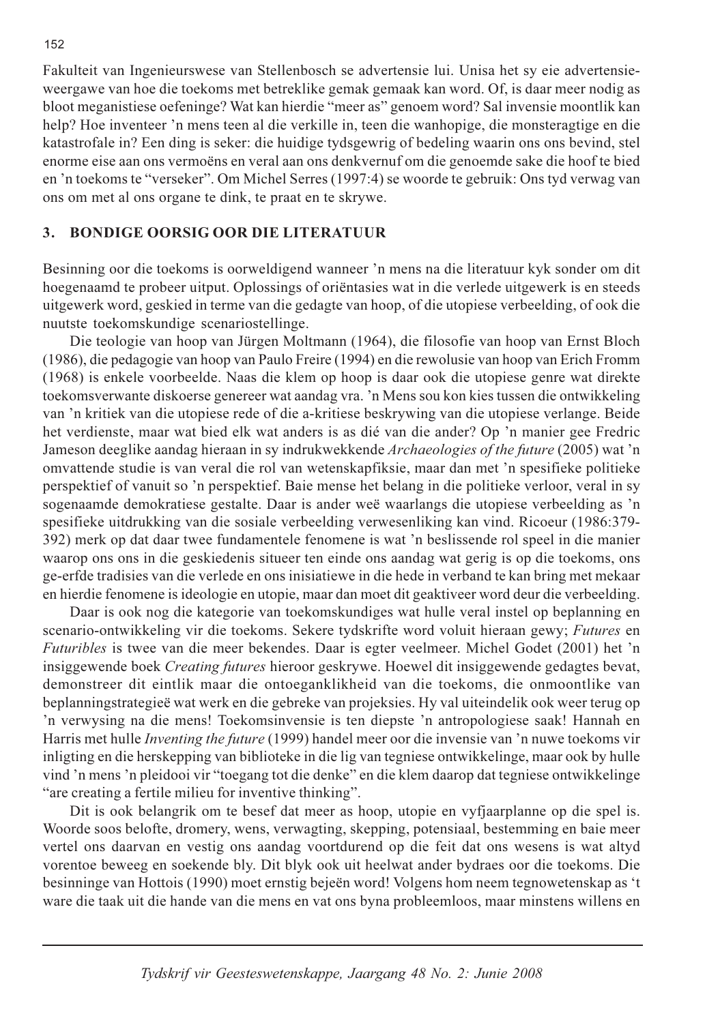Fakulteit van Ingenieurswese van Stellenbosch se advertensie lui. Unisa het sy eie advertensieweergawe van hoe die toekoms met betreklike gemak gemaak kan word. Of, is daar meer nodig as bloot meganistiese oefeninge? Wat kan hierdie "meer as" genoem word? Sal invensie moontlik kan help? Hoe inventeer 'n mens teen al die verkille in, teen die wanhopige, die monsteragtige en die katastrofale in? Een ding is seker: die huidige tydsgewrig of bedeling waarin ons ons bevind, stel enorme eise aan ons vermoëns en veral aan ons denkvernuf om die genoemde sake die hoof te bied en 'n toekoms te "verseker". Om Michel Serres (1997:4) se woorde te gebruik: Ons tyd verwag van ons om met al ons organe te dink, te praat en te skrywe.

#### 3. **BONDIGE OORSIG OOR DIE LITERATUUR**

Besinning oor die toekoms is oorweldigend wanneer 'n mens na die literatuur kyk sonder om dit hoegenaamd te probeer uitput. Oplossings of oriëntasies wat in die verlede uitgewerk is en steeds uitgewerk word, geskied in terme van die gedagte van hoop, of die utopiese verbeelding, of ook die nuutste toekomskundige scenariostellinge.

Die teologie van hoop van Jürgen Moltmann (1964), die filosofie van hoop van Ernst Bloch (1986), die pedagogie van hoop van Paulo Freire (1994) en die rewolusie van hoop van Erich Fromm (1968) is enkele voorbeelde. Naas die klem op hoop is daar ook die utopiese genre wat direkte toekomsverwante diskoerse genereer wat aandag vra. 'n Mens sou kon kies tussen die ontwikkeling van 'n kritiek van die utopiese rede of die a-kritiese beskrywing van die utopiese verlange. Beide het verdienste, maar wat bied elk wat anders is as dié van die ander? Op 'n manier gee Fredric Jameson deeglike aandag hieraan in sy indrukwekkende Archaeologies of the future (2005) wat 'n omvattende studie is van veral die rol van wetenskapfiksie, maar dan met 'n spesifieke politieke perspektief of vanuit so 'n perspektief. Baie mense het belang in die politieke verloor, veral in sy sogenaamde demokratiese gestalte. Daar is ander weë waarlangs die utopiese verbeelding as 'n spesifieke uitdrukking van die sosiale verbeelding verwesenliking kan vind. Ricoeur (1986:379-392) merk op dat daar twee fundamentele fenomene is wat 'n beslissende rol speel in die manier waarop ons ons in die geskiedenis situeer ten einde ons aandag wat gerig is op die toekoms, ons ge-erfde tradisies van die verlede en ons inisiatiewe in die hede in verband te kan bring met mekaar en hierdie fenomene is ideologie en utopie, maar dan moet dit geaktiveer word deur die verbeelding.

Daar is ook nog die kategorie van toekomskundiges wat hulle veral instel op beplanning en scenario-ontwikkeling vir die toekoms. Sekere tydskrifte word voluit hieraan gewy; Futures en *Futuribles* is twee van die meer bekendes. Daar is egter veelmeer. Michel Godet (2001) het 'n insiggewende boek Creating futures hieroor geskrywe. Hoewel dit insiggewende gedagtes bevat, demonstreer dit eintlik maar die ontoeganklikheid van die toekoms, die onmoontlike van beplanningstrategieë wat werk en die gebreke van projeksies. Hy val uiteindelik ook weer terug op 'n verwysing na die mens! Toekomsinvensie is ten diepste 'n antropologiese saak! Hannah en Harris met hulle *Inventing the future* (1999) handel meer oor die invensie van 'n nuwe toekoms vir inligting en die herskepping van biblioteke in die lig van tegniese ontwikkelinge, maar ook by hulle vind 'n mens 'n pleidooi vir "toegang tot die denke" en die klem daarop dat tegniese ontwikkelinge "are creating a fertile milieu for inventive thinking".

Dit is ook belangrik om te besef dat meer as hoop, utopie en vyfjaarplanne op die spel is. Woorde soos belofte, dromery, wens, verwagting, skepping, potensiaal, bestemming en baie meer vertel ons daarvan en vestig ons aandag voortdurend op die feit dat ons wesens is wat altyd vorentoe beweeg en soekende bly. Dit blyk ook uit heelwat ander bydraes oor die toekoms. Die besinninge van Hottois (1990) moet ernstig bejeën word! Volgens hom neem tegnowetenskap as 't ware die taak uit die hande van die mens en vat ons byna probleemloos, maar minstens willens en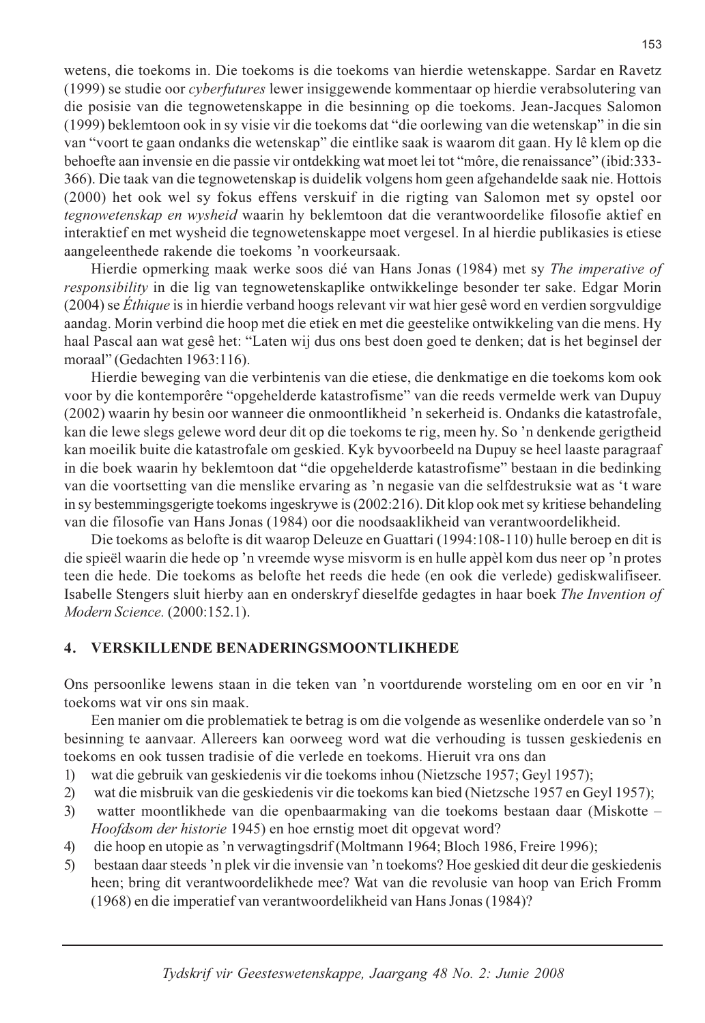wetens, die toekoms in. Die toekoms is die toekoms van hierdie wetenskappe. Sardar en Ravetz (1999) se studie oor *cyberfutures* lewer insiggewende kommentaar op hierdie verabsolutering van die posisie van die tegnowetenskappe in die besinning op die toekoms. Jean-Jacques Salomon (1999) beklemtoon ook in sy visie vir die toekoms dat "die oorlewing van die wetenskap" in die sin van "voort te gaan ondanks die wetenskap" die eintlike saak is waarom dit gaan. Hy lê klem op die behoefte aan invensie en die passie vir ontdekking wat moet lei tot "môre, die renaissance" (ibid:333-366). Die taak van die tegnowetenskap is duidelik volgens hom geen afgehandelde saak nie. Hottois (2000) het ook wel sy fokus effens verskuif in die rigting van Salomon met sy opstel oor tegnowetenskap en wysheid waarin hy beklemtoon dat die verantwoordelike filosofie aktief en interaktief en met wysheid die tegnowetenskappe moet vergesel. In al hierdie publikasies is etiese aangeleenthede rakende die toekoms 'n voorkeursaak.

Hierdie opmerking maak werke soos dié van Hans Jonas (1984) met sy The imperative of responsibility in die lig van tegnowetenskaplike ontwikkelinge besonder ter sake. Edgar Morin (2004) se Éthique is in hierdie verband hoogs relevant vir wat hier gesê word en verdien sorgyuldige aandag. Morin verbind die hoop met die etiek en met die geestelike ontwikkeling van die mens. Hy haal Pascal aan wat gesê het: "Laten wij dus ons best doen goed te denken; dat is het beginsel der moraal" (Gedachten 1963:116).

Hierdie beweging van die verbintenis van die etiese, die denkmatige en die toekoms kom ook voor by die kontemporêre "opgehelderde katastrofisme" van die reeds vermelde werk van Dupuy (2002) waarin hy besin oor wanneer die onmoontlikheid 'n sekerheid is. Ondanks die katastrofale, kan die lewe slegs gelewe word deur dit op die toekoms te rig, meen hy. So 'n denkende gerigtheid kan moeilik buite die katastrofale om geskied. Kyk byvoorbeeld na Dupuy se heel laaste paragraaf in die boek waarin hy beklemtoon dat "die opgehelderde katastrofisme" bestaan in die bedinking van die voortsetting van die menslike ervaring as 'n negasie van die selfdestruksie wat as 't ware in sy bestemmingsgerigte toekoms ingeskrywe is (2002:216). Dit klop ook met sy kritiese behandeling van die filosofie van Hans Jonas (1984) oor die noodsaaklikheid van verantwoordelikheid.

Die toekoms as belofte is dit waarop Deleuze en Guattari (1994:108-110) hulle beroep en dit is die spieël waarin die hede op 'n vreemde wyse misvorm is en hulle appèl kom dus neer op 'n protes teen die hede. Die toekoms as belofte het reeds die hede (en ook die verlede) gediskwalifiseer. Isabelle Stengers sluit hierby aan en onderskryf dieselfde gedagtes in haar boek The Invention of Modern Science. (2000:152.1).

#### **VERSKILLENDE BENADERINGSMOONTLIKHEDE**  $\boldsymbol{4}$ .

Ons persoonlike lewens staan in die teken van 'n voortdurende worsteling om en oor en vir 'n toekoms wat vir ons sin maak.

Een manier om die problematiek te betrag is om die volgende as wesenlike onderdele van so 'n besinning te aanvaar. Allereers kan oorweeg word wat die verhouding is tussen geskiedenis en toekoms en ook tussen tradisie of die verlede en toekoms. Hieruit vra ons dan

- wat die gebruik van geskiedenis vir die toekoms inhou (Nietzsche 1957; Geyl 1957);  $\left( \right)$
- wat die misbruik van die geskiedenis vir die toekoms kan bied (Nietzsche 1957 en Geyl 1957);  $(2)$
- $3)$ watter moontlikhede van die openbaarmaking van die toekoms bestaan daar (Miskotte – *Hoofdsom der historie* 1945) en hoe ernstig moet dit opgevat word?
- die hoop en utopie as 'n verwagtingsdrif (Moltmann 1964; Bloch 1986, Freire 1996); 4)
- bestaan daar steeds 'n plek vir die invensie van 'n toekoms? Hoe geskied dit deur die geskiedenis 5) heen; bring dit verantwoordelikhede mee? Wat van die revolusie van hoop van Erich Fromm (1968) en die imperatief van verantwoordelikheid van Hans Jonas (1984)?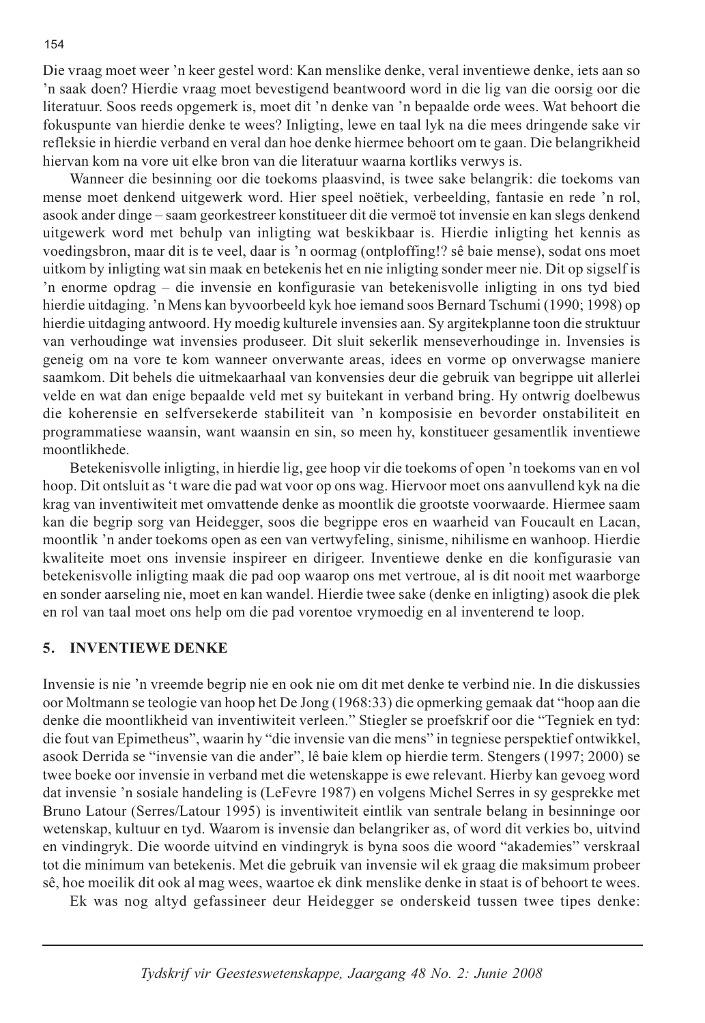Die vraag moet weer 'n keer gestel word: Kan menslike denke, veral inventiewe denke, iets aan so 'n saak doen? Hierdie vraag moet bevestigend beantwoord word in die lig van die oorsig oor die literatuur. Soos reeds opgemerk is, moet dit 'n denke van 'n bepaalde orde wees. Wat behoort die fokuspunte van hierdie denke te wees? Inligting, lewe en taal lyk na die mees dringende sake vir refleksie in hierdie verband en veral dan hoe denke hiermee behoort om te gaan. Die belangrikheid hiervan kom na vore uit elke bron van die literatuur waarna kortliks verwys is.

Wanneer die besinning oor die toekoms plaasvind, is twee sake belangrik: die toekoms van mense moet denkend uitgewerk word. Hier speel noëtiek, verbeelding, fantasie en rede 'n rol, asook ander dinge – saam georkestreer konstitueer dit die vermoë tot invensie en kan slegs denkend uitgewerk word met behulp van inligting wat beskikbaar is. Hierdie inligting het kennis as voedingsbron, maar dit is te veel, daar is 'n oormag (ontploffing!? sê baie mense), sodat ons moet uitkom by inligting wat sin maak en betekenis het en nie inligting sonder meer nie. Dit op sigself is 'n enorme opdrag – die invensie en konfigurasie van betekenisvolle inligting in ons tyd bied hierdie uitdaging. 'n Mens kan byvoorbeeld kyk hoe iemand soos Bernard Tschumi (1990; 1998) op hierdie uitdaging antwoord. Hy moedig kulturele invensies aan. Sy argitekplanne toon die struktuur van verhoudinge wat invensies produseer. Dit sluit sekerlik menseverhoudinge in. Invensies is geneig om na vore te kom wanneer onverwante areas, idees en vorme op onverwagse maniere saamkom. Dit behels die uitmekaarhaal van konvensies deur die gebruik van begrippe uit allerlei velde en wat dan enige bepaalde veld met sy buitekant in verband bring. Hy ontwrig doelbewus die koherensie en selfversekerde stabiliteit van 'n komposisie en bevorder onstabiliteit en programmatiese waansin, want waansin en sin, so meen hy, konstitueer gesamentlik inventiewe moontlikhede.

Betekenisvolle inligting, in hierdie lig, gee hoop vir die toekoms of open 'n toekoms van en vol hoop. Dit ontsluit as 't ware die pad wat voor op ons wag. Hiervoor moet ons aanvullend kyk na die krag van inventiwiteit met omvattende denke as moontlik die grootste voorwaarde. Hiermee saam kan die begrip sorg van Heidegger, soos die begrippe eros en waarheid van Foucault en Lacan, moontlik 'n ander toekoms open as een van vertwyfeling, sinisme, nihilisme en wanhoop. Hierdie kwaliteite moet ons invensie inspireer en dirigeer. Inventiewe denke en die konfigurasie van betekenisvolle inligting maak die pad oop waarop ons met vertroue, al is dit nooit met waarborge en sonder aarseling nie, moet en kan wandel. Hierdie twee sake (denke en inligting) asook die plek en rol van taal moet ons help om die pad vorentoe vrymoedig en al inventerend te loop.

### 5. INVENTIEWE DENKE

Invensie is nie 'n vreemde begrip nie en ook nie om dit met denke te verbind nie. In die diskussies oor Moltmann se teologie van hoop het De Jong (1968:33) die opmerking gemaak dat "hoop aan die denke die moontlikheid van inventiwiteit verleen." Stiegler se proefskrif oor die "Tegniek en tyd: die fout van Epimetheus", waarin hy "die invensie van die mens" in tegniese perspektief ontwikkel, asook Derrida se "invensie van die ander", lê baie klem op hierdie term. Stengers (1997; 2000) se twee boeke oor invensie in verband met die wetenskappe is ewe relevant. Hierby kan gevoeg word dat invensie 'n sosiale handeling is (LeFevre 1987) en volgens Michel Serres in sy gesprekke met Bruno Latour (Serres/Latour 1995) is inventiwiteit eintlik van sentrale belang in besinninge oor wetenskap, kultuur en tyd. Waarom is invensie dan belangriker as, of word dit verkies bo, uitvind en vindingryk. Die woorde uitvind en vindingryk is byna soos die woord "akademies" verskraal tot die minimum van betekenis. Met die gebruik van invensie wil ek graag die maksimum probeer sê, hoe moeilik dit ook al mag wees, waartoe ek dink menslike denke in staat is of behoort te wees.

Ek was nog altyd gefassineer deur Heidegger se onderskeid tussen twee tipes denke: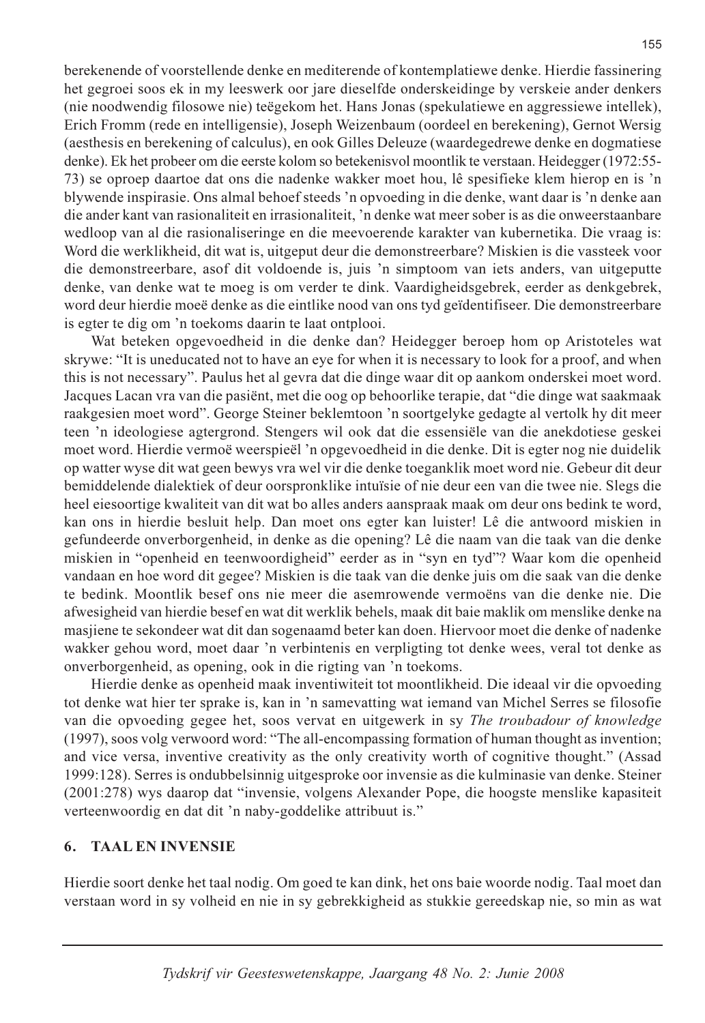berekenende of voorstellende denke en mediterende of kontemplatiewe denke. Hierdie fassinering het gegroei soos ek in my leeswerk oor jare dieselfde onderskeidinge by verskeie ander denkers (nie noodwendig filosowe nie) teëgekom het. Hans Jonas (spekulatiewe en aggressiewe intellek), Erich Fromm (rede en intelligensie), Joseph Weizenbaum (oordeel en berekening), Gernot Wersig (aesthesis en berekening of calculus), en ook Gilles Deleuze (waardegedrewe denke en dogmatiese denke). Ek het probeer om die eerste kolom so betekenisvol moontlik te verstaan. Heidegger (1972:55-73) se oproep daartoe dat ons die nadenke wakker moet hou, lê spesifieke klem hierop en is 'n blywende inspirasie. Ons almal behoef steeds 'n opvoeding in die denke, want daar is 'n denke aan die ander kant van rasionaliteit en irrasionaliteit. 'n denke wat meer sober is as die onweerstaanbare wedloop van al die rasionaliseringe en die meevoerende karakter van kubernetika. Die vraag is: Word die werklikheid, dit wat is, uitgeput deur die demonstreerbare? Miskien is die vassteek voor die demonstreerbare, asof dit voldoende is, juis 'n simptoom van iets anders, van uitgeputte denke, van denke wat te moeg is om verder te dink. Vaardigheidsgebrek, eerder as denkgebrek, word deur hierdie moeë denke as die eintlike nood van ons tyd geïdentifiseer. Die demonstreerbare is egter te dig om 'n toekoms daarin te laat ontplooi.

Wat beteken opgevoedheid in die denke dan? Heidegger beroep hom op Aristoteles wat skrywe: "It is uneducated not to have an eye for when it is necessary to look for a proof, and when this is not necessary". Paulus het al gevra dat die dinge waar dit op aankom onderskei moet word. Jacques Lacan vra van die pasiënt, met die oog op behoorlike terapie, dat "die dinge wat saakmaak raakgesien moet word". George Steiner beklemtoon 'n soortgelyke gedagte al vertolk hy dit meer teen 'n ideologiese agtergrond. Stengers wil ook dat die essensiële van die anekdotiese geskei moet word. Hierdie vermoë weerspieël 'n opgevoedheid in die denke. Dit is egter nog nie duidelik op watter wyse dit wat geen bewys vra wel vir die denke toeganklik moet word nie. Gebeur dit deur bemiddelende dialektiek of deur oorspronklike intuïsie of nie deur een van die twee nie. Slegs die heel eiesoortige kwaliteit van dit wat bo alles anders aanspraak maak om deur ons bedink te word, kan ons in hierdie besluit help. Dan moet ons egter kan luister! Lê die antwoord miskien in gefundeerde onverborgenheid, in denke as die opening? Lê die naam van die taak van die denke miskien in "openheid en teenwoordigheid" eerder as in "syn en tyd"? Waar kom die openheid vandaan en hoe word dit gegee? Miskien is die taak van die denke juis om die saak van die denke te bedink. Moontlik besef ons nie meer die asemrowende vermoëns van die denke nie. Die afwesigheid van hierdie besef en wat dit werklik behels, maak dit baie maklik om menslike denke na masjiene te sekondeer wat dit dan sogenaamd beter kan doen. Hiervoor moet die denke of nadenke wakker gehou word, moet daar 'n verbintenis en verpligting tot denke wees, veral tot denke as onverborgenheid, as opening, ook in die rigting van 'n toekoms.

Hierdie denke as openheid maak inventiwiteit tot moontlikheid. Die ideaal vir die opvoeding tot denke wat hier ter sprake is, kan in 'n samevatting wat iemand van Michel Serres se filosofie van die opvoeding gegee het, soos vervat en uitgewerk in sy The troubadour of knowledge (1997), soos volg verwoord word: "The all-encompassing formation of human thought as invention; and vice versa, inventive creativity as the only creativity worth of cognitive thought." (Assad 1999:128). Serres is ondubbelsinnig uitgesproke oor invensie as die kulminasie van denke. Steiner (2001:278) wys daarop dat "invensie, volgens Alexander Pope, die hoogste menslike kapasiteit verteenwoordig en dat dit 'n naby-goddelike attribuut is."

#### **TAAL EN INVENSIE** 6.

Hierdie soort denke het taal nodig. Om goed te kan dink, het ons baie woorde nodig. Taal moet dan verstaan word in sy volheid en nie in sy gebrekkigheid as stukkie gereedskap nie, so min as wat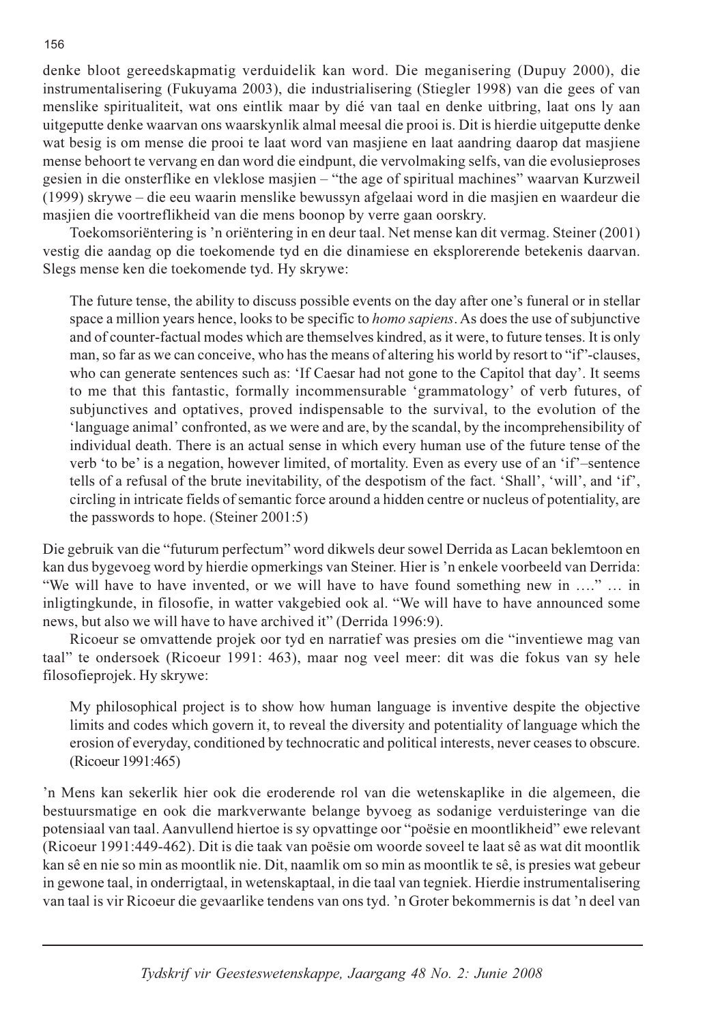denke bloot gereedskapmatig verduidelik kan word. Die meganisering (Dupuy 2000), die instrumentalisering (Fukuyama 2003), die industrialisering (Stiegler 1998) van die gees of van menslike spiritualiteit, wat ons eintlik maar by dié van taal en denke uitbring, laat ons ly aan uitgeputte denke waarvan ons waarskynlik almal meesal die prooi is. Dit is hierdie uitgeputte denke wat besig is om mense die prooi te laat word van masjiene en laat aandring daarop dat masjiene mense behoort te vervang en dan word die eindpunt, die vervolmaking selfs, van die evolusieproses gesien in die onsterflike en vleklose masjien – "the age of spiritual machines" waarvan Kurzweil (1999) skrywe – die eeu waarin menslike bewussyn afgelaai word in die masjien en waardeur die masjien die voortreflikheid van die mens boonop by verre gaan oorskry.

Toekomsoriëntering is 'n oriëntering in en deur taal. Net mense kan dit vermag. Steiner (2001) vestig die aandag op die toekomende tyd en die dinamiese en eksplorerende betekenis daarvan. Slegs mense ken die toekomende tyd. Hy skrywe:

The future tense, the ability to discuss possible events on the day after one's funeral or in stellar space a million years hence, looks to be specific to *homo sapiens*. As does the use of subjunctive and of counter-factual modes which are themselves kindred, as it were, to future tenses. It is only man, so far as we can conceive, who has the means of altering his world by resort to "if"-clauses, who can generate sentences such as: 'If Caesar had not gone to the Capitol that day'. It seems to me that this fantastic, formally incommensurable 'grammatology' of verb futures, of subjunctives and optatives, proved indispensable to the survival, to the evolution of the 'language animal' confronted, as we were and are, by the scandal, by the incomprehensibility of individual death. There is an actual sense in which every human use of the future tense of the verb 'to be' is a negation, however limited, of mortality. Even as every use of an 'if'-sentence tells of a refusal of the brute inevitability, of the despotism of the fact. 'Shall', 'will', and 'if', circling in intricate fields of semantic force around a hidden centre or nucleus of potentiality, are the passwords to hope. (Steiner 2001:5)

Die gebruik van die "futurum perfectum" word dikwels deur sowel Derrida as Lacan beklemtoon en kan dus bygevoeg word by hierdie opmerkings van Steiner. Hier is 'n enkele voorbeeld van Derrida: "We will have to have invented, or we will have to have found something new in ...." ... in inligting kunde, in filosofie, in watter vakgebied ook al. "We will have to have announced some news, but also we will have to have archived it" (Derrida 1996:9).

Ricoeur se omvattende projek oor tyd en narratief was presies om die "inventiewe mag van taal" te ondersoek (Ricoeur 1991: 463), maar nog veel meer: dit was die fokus van sy hele filosofieprojek. Hy skrywe:

My philosophical project is to show how human language is inventive despite the objective limits and codes which govern it, to reveal the diversity and potentiality of language which the erosion of everyday, conditioned by technocratic and political interests, never ceases to obscure. (Ricoeur 1991:465)

'n Mens kan sekerlik hier ook die eroderende rol van die wetenskaplike in die algemeen, die bestuursmatige en ook die markverwante belange byvoeg as sodanige verduisteringe van die potensiaal van taal. Aanvullend hiertoe is sy opvattinge oor "poësie en moontlikheid" ewe relevant (Ricoeur 1991:449-462). Dit is die taak van poësie om woorde soveel te laat sê as wat dit moontlik kan sê en nie so min as moontlik nie. Dit, naamlik om so min as moontlik te sê, is presies wat gebeur in gewone taal, in onderrigtaal, in wetenskaptaal, in die taal van tegniek. Hierdie instrumentalisering van taal is vir Ricoeur die gevaarlike tendens van ons tyd. 'n Groter bekommernis is dat 'n deel van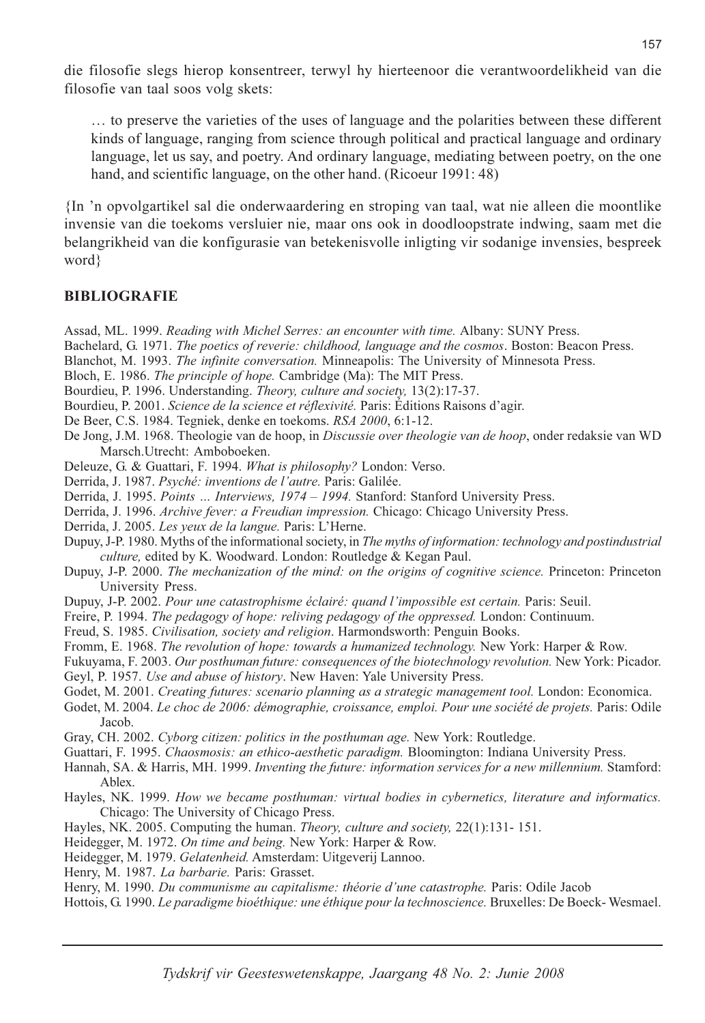die filosofie slegs hierop konsentreer, terwyl hy hierteenoor die verantwoordelikheid van die filosofie van taal soos volg skets:

... to preserve the varieties of the uses of language and the polarities between these different kinds of language, ranging from science through political and practical language and ordinary language, let us say, and poetry. And ordinary language, mediating between poetry, on the one hand, and scientific language, on the other hand. (Ricoeur 1991: 48)

In 'n opvolgartikel sal die onderwaardering en stroping van taal, wat nie alleen die moontlike invensie van die toekoms versluier nie, maar ons ook in doodloopstrate indwing, saam met die belangrikheid van die konfigurasie van betekenisvolle inligting vir sodanige invensies, bespreek word ?

### **BIBLIOGRAFIE**

- Assad, ML. 1999. Reading with Michel Serres: an encounter with time. Albany: SUNY Press.
- Bachelard, G. 1971. The poetics of reverie: childhood, language and the cosmos. Boston: Beacon Press.
- Blanchot, M. 1993. The infinite conversation. Minneapolis: The University of Minnesota Press.
- Bloch, E. 1986. The principle of hope. Cambridge (Ma): The MIT Press.
- Bourdieu, P. 1996. Understanding. Theory, culture and society, 13(2):17-37.
- Bourdieu, P. 2001. Science de la science et réflexivité. Paris: Éditions Raisons d'agir.
- De Beer, C.S. 1984. Tegniek, denke en toekoms. RSA 2000, 6:1-12.
- De Jong, J.M. 1968. Theologie van de hoop, in *Discussie over theologie van de hoop*, onder redaksie van WD Marsch.Utrecht: Amboboeken.
- Deleuze, G. & Guattari, F. 1994. What is philosophy? London: Verso.
- Derrida, J. 1987. Psyché: inventions de l'autre. Paris: Galilée.
- Derrida, J. 1995. Points ... Interviews, 1974 1994. Stanford: Stanford University Press.
- Derrida, J. 1996. Archive fever: a Freudian impression. Chicago: Chicago University Press.
- Derrida, J. 2005. Les yeux de la langue. Paris: L'Herne.
- Dupuy, J-P. 1980. Myths of the informational society, in The myths of information: technology and postindustrial culture, edited by K. Woodward. London: Routledge & Kegan Paul.
- Dupuy, J-P. 2000. The mechanization of the mind: on the origins of cognitive science. Princeton: Princeton University Press.
- Dupuy, J-P. 2002. Pour une catastrophisme éclairé: quand l'impossible est certain. Paris: Seuil.
- Freire, P. 1994. The pedagogy of hope: reliving pedagogy of the oppressed. London: Continuum.
- Freud, S. 1985. Civilisation, society and religion. Harmondsworth: Penguin Books.
- Fromm, E. 1968. The revolution of hope: towards a humanized technology. New York: Harper & Row.
- Fukuyama, F. 2003. Our posthuman future: consequences of the biotechnology revolution. New York: Picador. Geyl, P. 1957. Use and abuse of history. New Haven: Yale University Press.
- Godet, M. 2001. Creating futures: scenario planning as a strategic management tool. London: Economica.
- Godet, M. 2004. Le choc de 2006: démographie, croissance, emploi. Pour une société de projets. Paris: Odile Jacob.
- Gray, CH. 2002. Cyborg citizen: politics in the posthuman age. New York: Routledge.
- Guattari, F. 1995. Chaosmosis: an ethico-aesthetic paradigm. Bloomington: Indiana University Press.
- Hannah, SA. & Harris, MH. 1999. Inventing the future: information services for a new millennium. Stamford: Ablex.
- Hayles, NK. 1999. How we became posthuman: virtual bodies in cybernetics, literature and informatics. Chicago: The University of Chicago Press.
- Hayles, NK. 2005. Computing the human. Theory, culture and society, 22(1):131-151.
- Heidegger, M. 1972. On time and being. New York: Harper & Row.
- Heidegger, M. 1979. Gelatenheid. Amsterdam: Uitgeverij Lannoo.
- Henry, M. 1987. La barbarie. Paris: Grasset.
- Henry, M. 1990. Du communisme au capitalisme: théorie d'une catastrophe. Paris: Odile Jacob
- Hottois, G. 1990. Le paradigme bioéthique: une éthique pour la technoscience. Bruxelles: De Boeck-Wesmael.